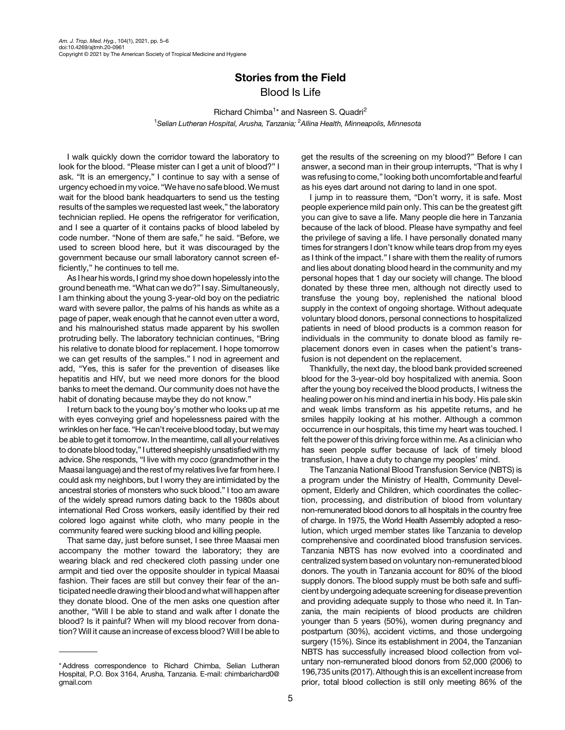## Stories from the Field Blood Is Life

Richard Chimba<sup>1</sup>\* and Nasreen S. Quadri<sup>2</sup> <sup>1</sup>Selian Lutheran Hospital, Arusha, Tanzania; <sup>2</sup>Allina Health, Minneapolis, Minnesota

I walk quickly down the corridor toward the laboratory to look for the blood. "Please mister can I get a unit of blood?" I ask. "It is an emergency," I continue to say with a sense of urgency echoed in my voice. "We have no safe blood.We must wait for the blood bank headquarters to send us the testing results of the samples we requested last week," the laboratory technician replied. He opens the refrigerator for verification, and I see a quarter of it contains packs of blood labeled by code number. "None of them are safe," he said. "Before, we used to screen blood here, but it was discouraged by the government because our small laboratory cannot screen efficiently," he continues to tell me.

As I hear his words, I grind my shoe down hopelessly into the ground beneath me. "What can we do?" I say. Simultaneously, I am thinking about the young 3-year-old boy on the pediatric ward with severe pallor, the palms of his hands as white as a page of paper, weak enough that he cannot even utter a word, and his malnourished status made apparent by his swollen protruding belly. The laboratory technician continues, "Bring his relative to donate blood for replacement. I hope tomorrow we can get results of the samples." I nod in agreement and add, "Yes, this is safer for the prevention of diseases like hepatitis and HIV, but we need more donors for the blood banks to meet the demand. Our community does not have the habit of donating because maybe they do not know."

I return back to the young boy's mother who looks up at me with eyes conveying grief and hopelessness paired with the wrinkles on her face. "He can't receive blood today, but we may be able to get it tomorrow. In the meantime, call all your relatives to donate blood today," I uttered sheepishly unsatisfied with my advice. She responds, "I live with my coco (grandmother in the Maasai language) and the rest of my relatives live far from here. I could ask my neighbors, but I worry they are intimidated by the ancestral stories of monsters who suck blood." I too am aware of the widely spread rumors dating back to the 1980s about international Red Cross workers, easily identified by their red colored logo against white cloth, who many people in the community feared were sucking blood and killing people.

That same day, just before sunset, I see three Maasai men accompany the mother toward the laboratory; they are wearing black and red checkered cloth passing under one armpit and tied over the opposite shoulder in typical Maasai fashion. Their faces are still but convey their fear of the anticipated needle drawing their blood and what will happen after they donate blood. One of the men asks one question after another, "Will I be able to stand and walk after I donate the blood? Is it painful? When will my blood recover from donation? Will it cause an increase of excess blood? Will I be able to get the results of the screening on my blood?" Before I can answer, a second man in their group interrupts, "That is why I was refusing to come," looking both uncomfortable and fearful as his eyes dart around not daring to land in one spot.

I jump in to reassure them, "Don't worry, it is safe. Most people experience mild pain only. This can be the greatest gift you can give to save a life. Many people die here in Tanzania because of the lack of blood. Please have sympathy and feel the privilege of saving a life. I have personally donated many times for strangers I don't know while tears drop from my eyes as I think of the impact." I share with them the reality of rumors and lies about donating blood heard in the community and my personal hopes that 1 day our society will change. The blood donated by these three men, although not directly used to transfuse the young boy, replenished the national blood supply in the context of ongoing shortage. Without adequate voluntary blood donors, personal connections to hospitalized patients in need of blood products is a common reason for individuals in the community to donate blood as family replacement donors even in cases when the patient's transfusion is not dependent on the replacement.

Thankfully, the next day, the blood bank provided screened blood for the 3-year-old boy hospitalized with anemia. Soon after the young boy received the blood products, I witness the healing power on his mind and inertia in his body. His pale skin and weak limbs transform as his appetite returns, and he smiles happily looking at his mother. Although a common occurrence in our hospitals, this time my heart was touched. I felt the power of this driving force within me. As a clinician who has seen people suffer because of lack of timely blood transfusion, I have a duty to change my peoples' mind.

The Tanzania National Blood Transfusion Service (NBTS) is a program under the Ministry of Health, Community Development, Elderly and Children, which coordinates the collection, processing, and distribution of blood from voluntary non-remunerated blood donors to all hospitals in the country free of charge. In 1975, the World Health Assembly adopted a resolution, which urged member states like Tanzania to develop comprehensive and coordinated blood transfusion services. Tanzania NBTS has now evolved into a coordinated and centralized system based on voluntary non-remunerated blood donors. The youth in Tanzania account for 80% of the blood supply donors. The blood supply must be both safe and sufficient by undergoing adequate screening for disease prevention and providing adequate supply to those who need it. In Tanzania, the main recipients of blood products are children younger than 5 years (50%), women during pregnancy and postpartum (30%), accident victims, and those undergoing surgery (15%). Since its establishment in 2004, the Tanzanian NBTS has successfully increased blood collection from voluntary non-remunerated blood donors from 52,000 (2006) to 196,735 units (2017). Although this is an excellent increase from prior, total blood collection is still only meeting 86% of the

<sup>\*</sup> Address correspondence to Richard Chimba, Selian Lutheran Hospital, P.O. Box 3164, Arusha, Tanzania. E-mail: [chimbarichard0@](mailto:chimbarichard0@gmail.com) [gmail.com](mailto:chimbarichard0@gmail.com)